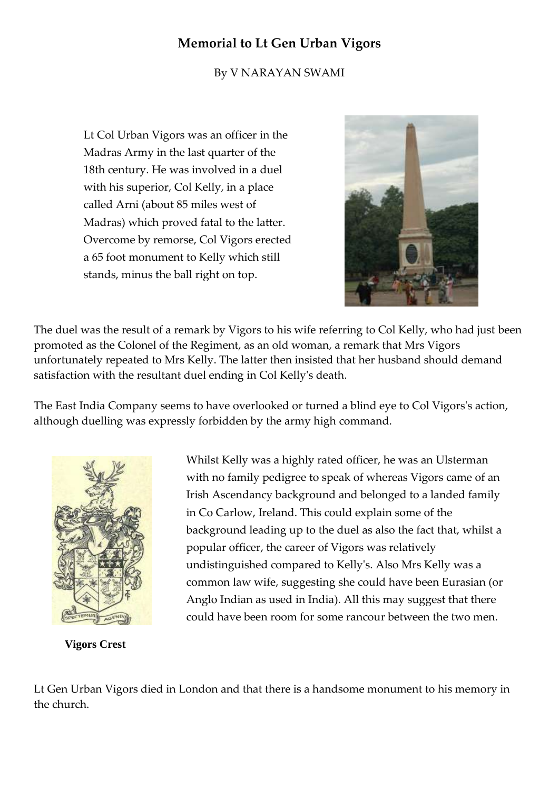## **Memorial to Lt Gen Urban Vigors**

By V NARAYAN SWAMI

Lt Col Urban Vigors was an officer in the Madras Army in the last quarter of the 18th century. He was involved in a duel with his superior, Col Kelly, in a place called Arni (about 85 miles west of Madras) which proved fatal to the latter. Overcome by remorse, Col Vigors erected a 65 foot monument to Kelly which still stands, minus the ball right on top.



The duel was the result of a remark by Vigors to his wife referring to Col Kelly, who had just been promoted as the Colonel of the Regiment, as an old woman, a remark that Mrs Vigors unfortunately repeated to Mrs Kelly. The latter then insisted that her husband should demand satisfaction with the resultant duel ending in Col Kelly's death.

The East India Company seems to have overlooked or turned a blind eye to Col Vigors's action, although duelling was expressly forbidden by the army high command.



 **Vigors Crest**

Whilst Kelly was a highly rated officer, he was an Ulsterman with no family pedigree to speak of whereas Vigors came of an Irish Ascendancy background and belonged to a landed family in Co Carlow, Ireland. This could explain some of the background leading up to the duel as also the fact that, whilst a popular officer, the career of Vigors was relatively undistinguished compared to Kelly's. Also Mrs Kelly was a common law wife, suggesting she could have been Eurasian (or Anglo Indian as used in India). All this may suggest that there could have been room for some rancour between the two men.

Lt Gen Urban Vigors died in London and that there is a handsome monument to his memory in the church.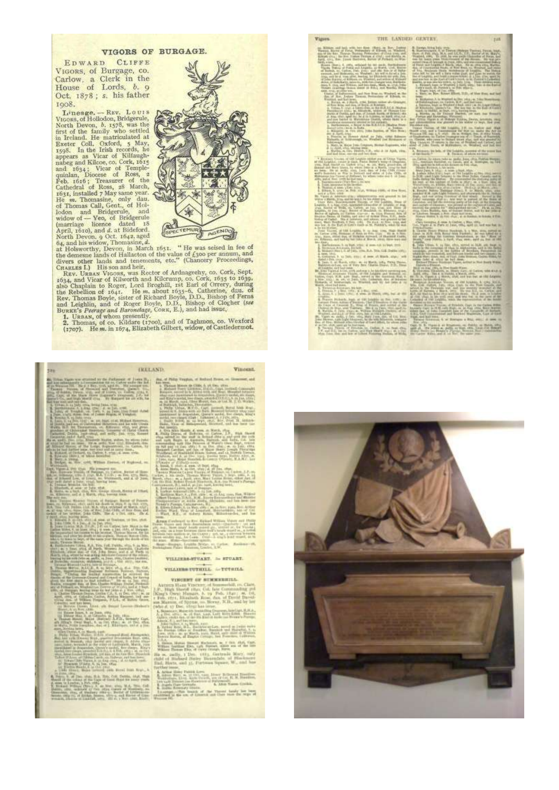## VIGORS OF BURGAGE.

EDWARD CLIFFE VIGORS, of Burgage, co.<br>Carlow, a Clerk in the<br>House of Lords, b. 9 Oct. 1878; s. his father 1908.



## **BULLAND**

NEW CHART

Vincent.

**Vigors** 

THE LANDED GENTEY.